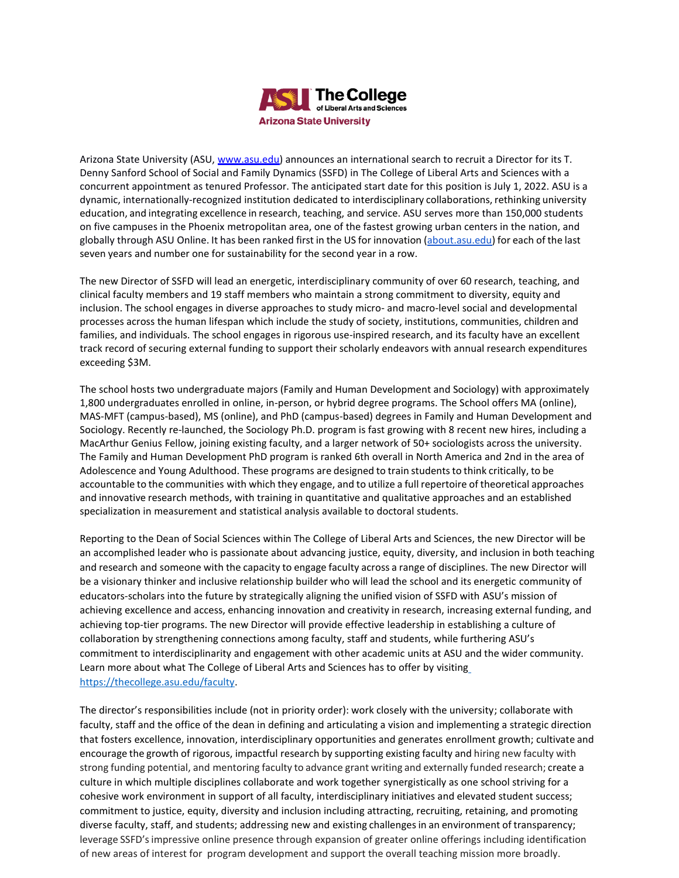

Arizona State University (ASU, [www.asu.edu\)](http://www.asu.edu/) announces an international search to recruit a Director for its T. Denny Sanford School of Social and Family Dynamics (SSFD) in The College of Liberal Arts and Sciences with a concurrent appointment as tenured Professor. The anticipated start date for this position is July 1, 2022. ASU is a dynamic, internationally-recognized institution dedicated to interdisciplinary collaborations, rethinking university education, and integrating excellence in research, teaching, and service. ASU serves more than 150,000 students on five campuses in the Phoenix metropolitan area, one of the fastest growing urban centers in the nation, and globally through ASU Online. It has been ranked first in the US for innovation [\(about.asu.edu\)](https://about.asu.edu/rankings) for each of the last seven years and number one for sustainability for the second year in a row.

The new Director of SSFD will lead an energetic, interdisciplinary community of over 60 research, teaching, and clinical faculty members and 19 staff members who maintain a strong commitment to diversity, equity and inclusion. The school engages in diverse approaches to study micro- and macro-level social and developmental processes across the human lifespan which include the study of society, institutions, communities, children and families, and individuals. The school engages in rigorous use-inspired research, and its faculty have an excellent track record of securing external funding to support their scholarly endeavors with annual research expenditures exceeding \$3M.

The school hosts two undergraduate majors (Family and Human Development and Sociology) with approximately 1,800 undergraduates enrolled in online, in-person, or hybrid degree programs. The School offers MA (online), MAS-MFT (campus-based), MS (online), and PhD (campus-based) degrees in Family and Human Development and Sociology. Recently re-launched, the Sociology Ph.D. program is fast growing with 8 recent new hires, including a MacArthur Genius Fellow, joining existing faculty, and a larger network of 50+ sociologists across the university. The Family and Human Development PhD program is ranked 6th overall in North America and 2nd in the area of Adolescence and Young Adulthood. These programs are designed to train students to think critically, to be accountable to the communities with which they engage, and to utilize a full repertoire of theoretical approaches and innovative research methods, with training in quantitative and qualitative approaches and an established specialization in measurement and statistical analysis available to doctoral students.

Reporting to the Dean of Social Sciences within The College of Liberal Arts and Sciences, the new Director will be an accomplished leader who is passionate about advancing justice, equity, diversity, and inclusion in both teaching and research and someone with the capacity to engage faculty across a range of disciplines. The new Director will be a visionary thinker and inclusive relationship builder who will lead the school and its energetic community of educators-scholars into the future by strategically aligning the unified vision of SSFD with ASU's mission of achieving excellence and access, enhancing innovation and creativity in research, increasing external funding, and achieving top-tier programs. The new Director will provide effective leadership in establishing a culture of collaboration by strengthening connections among faculty, staff and students, while furthering ASU's commitment to interdisciplinarity and engagement with other academic units at ASU and the wider community. Learn more about what The College of Liberal Arts and Sciences has to offer by visitin[g](https://thecollege.asu.edu/faculty) [https://thecollege.asu.edu/faculty.](https://thecollege.asu.edu/faculty)

The director's responsibilities include (not in priority order): work closely with the university; collaborate with faculty, staff and the office of the dean in defining and articulating a vision and implementing a strategic direction that fosters excellence, innovation, interdisciplinary opportunities and generates enrollment growth; cultivate and encourage the growth of rigorous, impactful research by supporting existing faculty and hiring new faculty with strong funding potential, and mentoring faculty to advance grant writing and externally funded research; create a culture in which multiple disciplines collaborate and work together synergistically as one school striving for a cohesive work environment in support of all faculty, interdisciplinary initiatives and elevated student success; commitment to justice, equity, diversity and inclusion including attracting, recruiting, retaining, and promoting diverse faculty, staff, and students; addressing new and existing challengesin an environment of transparency; leverage SSFD'simpressive online presence through expansion of greater online offerings including identification of new areas of interest for program development and support the overall teaching mission more broadly.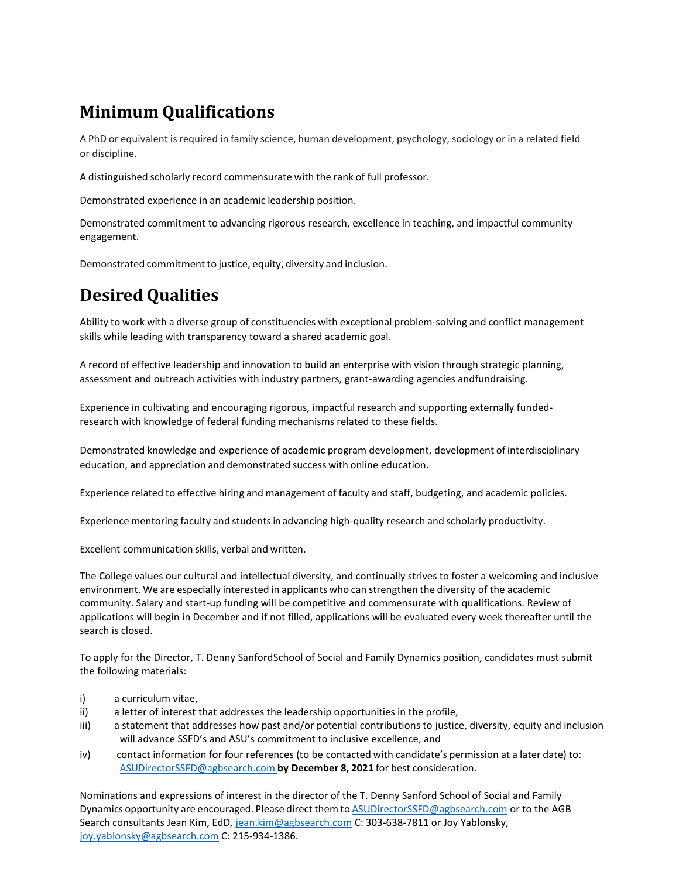## **Minimum Qualifications**

A PhD or equivalent is required in family science, human development, psychology, sociology or in a related field or discipline.

A distinguished scholarly record commensurate with the rank of full professor.

Demonstrated experience in an academic leadership position.

Demonstrated commitment to advancing rigorous research, excellence in teaching, and impactful community engagement.

Demonstrated commitment to justice, equity, diversity and inclusion.

## **Desired Qualities**

Ability to work with a diverse group of constituencies with exceptional problem-solving and conflict management skills while leading with transparency toward a shared academic goal.

A record of effective leadership and innovation to build an enterprise with vision through strategic planning, assessment and outreach activities with industry partners, grant-awarding agencies andfundraising.

Experience in cultivating and encouraging rigorous, impactful research and supporting externally fundedresearch with knowledge of federal funding mechanisms related to these fields.

Demonstrated knowledge and experience of academic program development, development of interdisciplinary education, and appreciation and demonstrated success with online education.

Experience related to effective hiring and management of faculty and staff, budgeting, and academic policies.

Experience mentoring faculty and studentsin advancing high-quality research and scholarly productivity.

Excellent communication skills, verbal and written.

The College values our cultural and intellectual diversity, and continually strives to foster a welcoming and inclusive environment. We are especially interested in applicants who can strengthen the diversity of the academic community. Salary and start-up funding will be competitive and commensurate with qualifications. Review of applications will begin in December and if not filled, applications will be evaluated every week thereafter until the search is closed.

To apply for the Director, T. Denny SanfordSchool of Social and Family Dynamics position, candidates must submit the following materials:

- i) a curriculum vitae,
- ii) a letter of interest that addresses the leadership opportunities in the profile,
- iii) a statement that addresses how past and/or potential contributions to justice, diversity, equity and inclusion will advance SSFD's and ASU's commitment to inclusive excellence, and
- iv) contact information for four references (to be contacted with candidate's permission at a later date) to: [ASUDirectorSSFD@agbsearch.com](mailto:ASUDirectorSSFD@agbsearch.com) **by December 8, 2021** for best consideration.

Nominations and expressions of interest in the director of the T. Denny Sanford School of Social and Family Dynamics opportunity are encouraged. Please direct them to **[ASUDirectorSSFD@agbsearch.com](mailto:ASUDirectorSSFD@agbsearch.com)** or to the AGB Search consultants Jean Kim, EdD[, jean.kim@agbsearch.com](mailto:jean.kim@agbsearch.com) C: 303-638-7811 or Joy Yablonsky, [joy.yablonsky@agbsearch.com](mailto:joy.yablonsky@agbsearch.com) C: 215-934-1386.